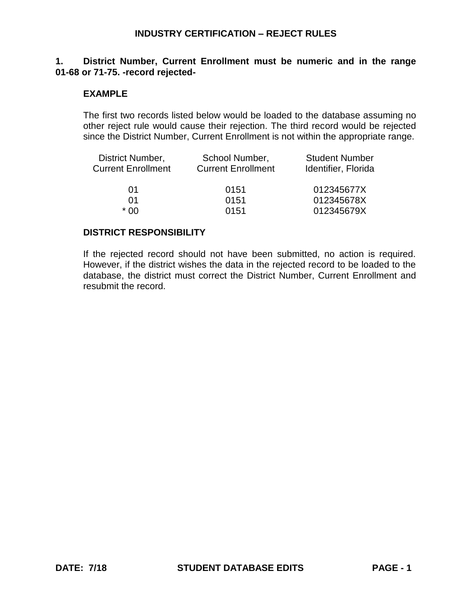### **1. District Number, Current Enrollment must be numeric and in the range 01-68 or 71-75. -record rejected-**

### **EXAMPLE**

The first two records listed below would be loaded to the database assuming no other reject rule would cause their rejection. The third record would be rejected since the District Number, Current Enrollment is not within the appropriate range.

| District Number,          | School Number,            | <b>Student Number</b> |
|---------------------------|---------------------------|-----------------------|
| <b>Current Enrollment</b> | <b>Current Enrollment</b> | Identifier, Florida   |
| 01                        | 0151                      | 012345677X            |
| 01                        | 0151                      | 012345678X            |
| * በበ                      | 0151                      | 012345679X            |

#### **DISTRICT RESPONSIBILITY**

If the rejected record should not have been submitted, no action is required. However, if the district wishes the data in the rejected record to be loaded to the database, the district must correct the District Number, Current Enrollment and resubmit the record.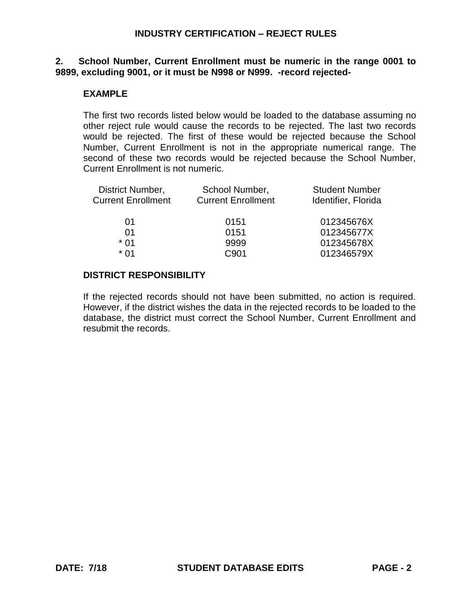### **2. School Number, Current Enrollment must be numeric in the range 0001 to 9899, excluding 9001, or it must be N998 or N999. -record rejected-**

## **EXAMPLE**

The first two records listed below would be loaded to the database assuming no other reject rule would cause the records to be rejected. The last two records would be rejected. The first of these would be rejected because the School Number, Current Enrollment is not in the appropriate numerical range. The second of these two records would be rejected because the School Number, Current Enrollment is not numeric.

| District Number,          | School Number,            | <b>Student Number</b> |
|---------------------------|---------------------------|-----------------------|
| <b>Current Enrollment</b> | <b>Current Enrollment</b> | Identifier, Florida   |
|                           |                           |                       |
| $\Omega$ 1                | 0151                      | 012345676X            |
| 01                        | 0151                      | 012345677X            |
| * 01                      | 9999                      | 012345678X            |
| * በ1                      | C <sub>901</sub>          | 012346579X            |
|                           |                           |                       |

#### **DISTRICT RESPONSIBILITY**

If the rejected records should not have been submitted, no action is required. However, if the district wishes the data in the rejected records to be loaded to the database, the district must correct the School Number, Current Enrollment and resubmit the records.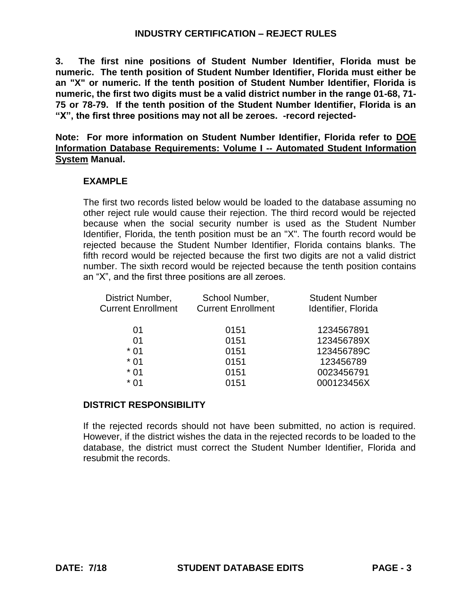**3. The first nine positions of Student Number Identifier, Florida must be numeric. The tenth position of Student Number Identifier, Florida must either be an "X" or numeric. If the tenth position of Student Number Identifier, Florida is numeric, the first two digits must be a valid district number in the range 01-68, 71- 75 or 78-79. If the tenth position of the Student Number Identifier, Florida is an "X", the first three positions may not all be zeroes. -record rejected-**

**Note: For more information on Student Number Identifier, Florida refer to DOE Information Database Requirements: Volume I -- Automated Student Information System Manual.**

## **EXAMPLE**

The first two records listed below would be loaded to the database assuming no other reject rule would cause their rejection. The third record would be rejected because when the social security number is used as the Student Number Identifier, Florida, the tenth position must be an "X". The fourth record would be rejected because the Student Number Identifier, Florida contains blanks. The fifth record would be rejected because the first two digits are not a valid district number. The sixth record would be rejected because the tenth position contains an "X", and the first three positions are all zeroes.

| District Number,<br><b>Current Enrollment</b> | School Number,<br><b>Current Enrollment</b> | <b>Student Number</b><br>Identifier, Florida |
|-----------------------------------------------|---------------------------------------------|----------------------------------------------|
| 01                                            | 0151                                        | 1234567891                                   |
| 01                                            | 0151                                        | 123456789X                                   |
| $*01$                                         | 0151                                        | 123456789C                                   |
| $*01$                                         | 0151                                        | 123456789                                    |
| $*01$                                         | 0151                                        | 0023456791                                   |
| $*01$                                         | 0151                                        | 000123456X                                   |
|                                               |                                             |                                              |

## **DISTRICT RESPONSIBILITY**

If the rejected records should not have been submitted, no action is required. However, if the district wishes the data in the rejected records to be loaded to the database, the district must correct the Student Number Identifier, Florida and resubmit the records.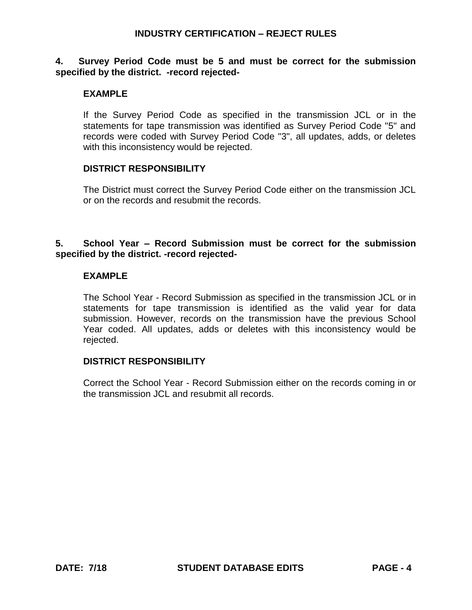### **4. Survey Period Code must be 5 and must be correct for the submission specified by the district. -record rejected-**

## **EXAMPLE**

If the Survey Period Code as specified in the transmission JCL or in the statements for tape transmission was identified as Survey Period Code "5" and records were coded with Survey Period Code "3", all updates, adds, or deletes with this inconsistency would be rejected.

#### **DISTRICT RESPONSIBILITY**

The District must correct the Survey Period Code either on the transmission JCL or on the records and resubmit the records.

### **5. School Year – Record Submission must be correct for the submission specified by the district. -record rejected-**

### **EXAMPLE**

The School Year - Record Submission as specified in the transmission JCL or in statements for tape transmission is identified as the valid year for data submission. However, records on the transmission have the previous School Year coded. All updates, adds or deletes with this inconsistency would be rejected.

### **DISTRICT RESPONSIBILITY**

Correct the School Year - Record Submission either on the records coming in or the transmission JCL and resubmit all records.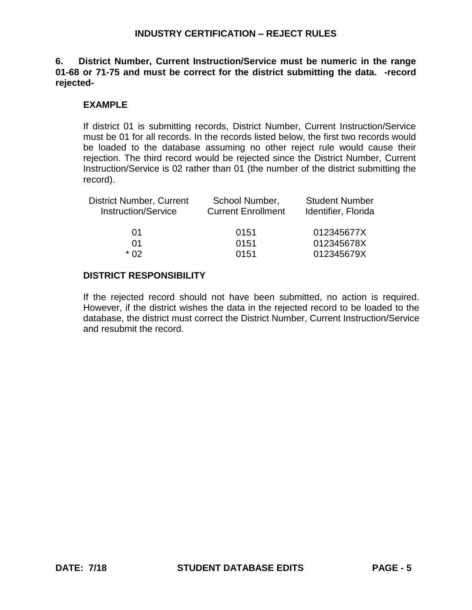**6. District Number, Current Instruction/Service must be numeric in the range 01-68 or 71-75 and must be correct for the district submitting the data. -record rejected-**

## **EXAMPLE**

If district 01 is submitting records, District Number, Current Instruction/Service must be 01 for all records. In the records listed below, the first two records would be loaded to the database assuming no other reject rule would cause their rejection. The third record would be rejected since the District Number, Current Instruction/Service is 02 rather than 01 (the number of the district submitting the record).

| School Number,<br><b>Current Enrollment</b> | <b>Student Number</b><br>Identifier, Florida |
|---------------------------------------------|----------------------------------------------|
| 0151                                        | 012345677X                                   |
| 0151                                        | 012345678X                                   |
| 0151                                        | 012345679X                                   |
|                                             |                                              |

## **DISTRICT RESPONSIBILITY**

If the rejected record should not have been submitted, no action is required. However, if the district wishes the data in the rejected record to be loaded to the database, the district must correct the District Number, Current Instruction/Service and resubmit the record.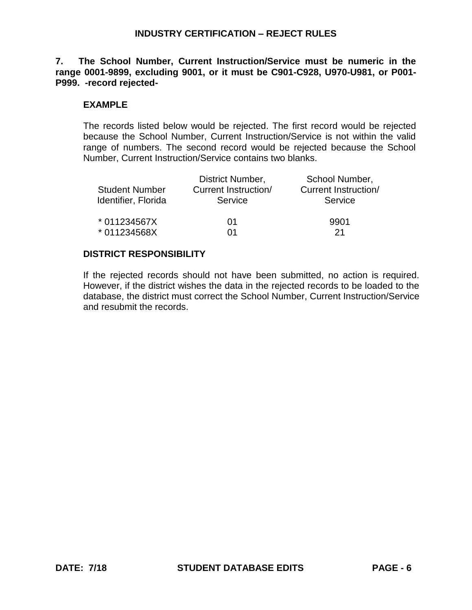**7. The School Number, Current Instruction/Service must be numeric in the range 0001-9899, excluding 9001, or it must be C901-C928, U970-U981, or P001- P999. -record rejected-**

## **EXAMPLE**

The records listed below would be rejected. The first record would be rejected because the School Number, Current Instruction/Service is not within the valid range of numbers. The second record would be rejected because the School Number, Current Instruction/Service contains two blanks.

|                       | District Number,     | School Number,              |
|-----------------------|----------------------|-----------------------------|
| <b>Student Number</b> | Current Instruction/ | <b>Current Instruction/</b> |
| Identifier, Florida   | Service              | Service                     |
| * 011234567X          | 01                   | 9901                        |
| * 011234568X          | 01                   | 21                          |

## **DISTRICT RESPONSIBILITY**

If the rejected records should not have been submitted, no action is required. However, if the district wishes the data in the rejected records to be loaded to the database, the district must correct the School Number, Current Instruction/Service and resubmit the records.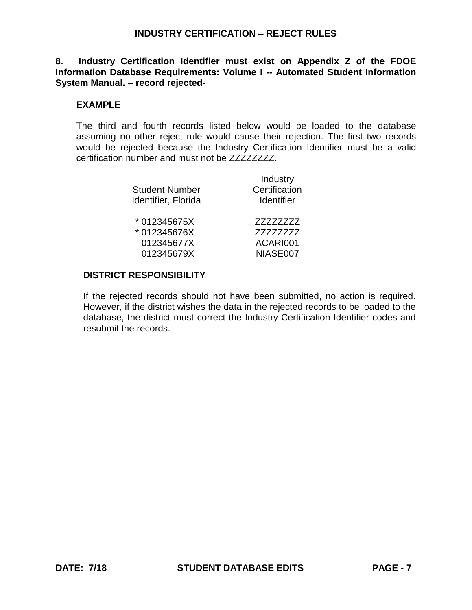## **8. Industry Certification Identifier must exist on Appendix Z of the FDOE Information Database Requirements: Volume I -- Automated Student Information System Manual. – record rejected-**

# **EXAMPLE**

The third and fourth records listed below would be loaded to the database assuming no other reject rule would cause their rejection. The first two records would be rejected because the Industry Certification Identifier must be a valid certification number and must not be ZZZZZZZZ.

| <b>Student Number</b><br>Identifier, Florida | Industry<br>Certification<br><b>Identifier</b> |
|----------------------------------------------|------------------------------------------------|
| *012345675X                                  | ZZZZZZZZZ                                      |
| *012345676X                                  | 77777777                                       |
| 012345677X                                   | ACARI001                                       |
| 012345679X                                   | NIASE007                                       |

## **DISTRICT RESPONSIBILITY**

If the rejected records should not have been submitted, no action is required. However, if the district wishes the data in the rejected records to be loaded to the database, the district must correct the Industry Certification Identifier codes and resubmit the records.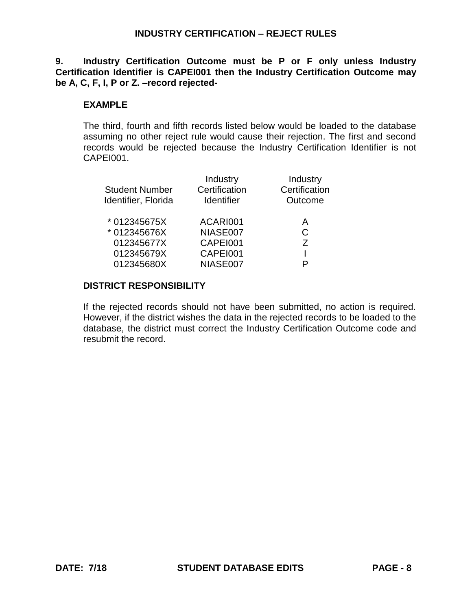**9. Industry Certification Outcome must be P or F only unless Industry Certification Identifier is CAPEI001 then the Industry Certification Outcome may be A, C, F, I, P or Z. –record rejected-**

# **EXAMPLE**

The third, fourth and fifth records listed below would be loaded to the database assuming no other reject rule would cause their rejection. The first and second records would be rejected because the Industry Certification Identifier is not CAPEI001.

| <b>Student Number</b><br>Identifier, Florida | Industry<br>Certification<br><b>Identifier</b> | Industry<br>Certification<br>Outcome |  |
|----------------------------------------------|------------------------------------------------|--------------------------------------|--|
| * 012345675X                                 | ACARI001                                       | A                                    |  |
| * 012345676X                                 | NIASE007                                       | C                                    |  |
| 012345677X                                   | CAPEI001                                       | 7                                    |  |
| 012345679X                                   | CAPEI001                                       |                                      |  |
| 012345680X                                   | NIASE007                                       | P                                    |  |

## **DISTRICT RESPONSIBILITY**

If the rejected records should not have been submitted, no action is required. However, if the district wishes the data in the rejected records to be loaded to the database, the district must correct the Industry Certification Outcome code and resubmit the record.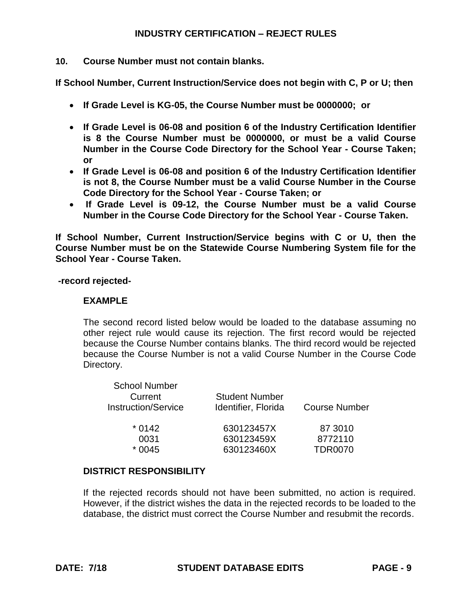## **10. Course Number must not contain blanks.**

**If School Number, Current Instruction/Service does not begin with C, P or U; then**

- **If Grade Level is KG-05, the Course Number must be 0000000; or**
- **If Grade Level is 06-08 and position 6 of the Industry Certification Identifier is 8 the Course Number must be 0000000, or must be a valid Course Number in the Course Code Directory for the School Year - Course Taken; or**
- **If Grade Level is 06-08 and position 6 of the Industry Certification Identifier is not 8, the Course Number must be a valid Course Number in the Course Code Directory for the School Year - Course Taken; or**
- **If Grade Level is 09-12, the Course Number must be a valid Course Number in the Course Code Directory for the School Year - Course Taken.**

**If School Number, Current Instruction/Service begins with C or U, then the Course Number must be on the Statewide Course Numbering System file for the School Year - Course Taken.**

**-record rejected-**

## **EXAMPLE**

The second record listed below would be loaded to the database assuming no other reject rule would cause its rejection. The first record would be rejected because the Course Number contains blanks. The third record would be rejected because the Course Number is not a valid Course Number in the Course Code Directory.

| <b>School Number</b><br>Current<br><b>Instruction/Service</b> | <b>Student Number</b><br>Identifier, Florida | <b>Course Number</b> |  |
|---------------------------------------------------------------|----------------------------------------------|----------------------|--|
| $*0142$                                                       | 630123457X                                   | 87 3010              |  |
| 0031                                                          | 630123459X                                   | 8772110              |  |
| $*0045$                                                       | 630123460X                                   | <b>TDR0070</b>       |  |

## **DISTRICT RESPONSIBILITY**

If the rejected records should not have been submitted, no action is required. However, if the district wishes the data in the rejected records to be loaded to the database, the district must correct the Course Number and resubmit the records.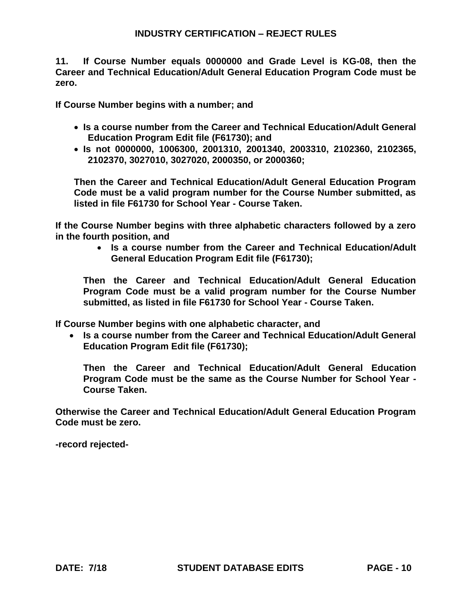**11. If Course Number equals 0000000 and Grade Level is KG-08, then the Career and Technical Education/Adult General Education Program Code must be zero.**

**If Course Number begins with a number; and**

- **Is a course number from the Career and Technical Education/Adult General Education Program Edit file (F61730); and**
- **Is not 0000000, 1006300, 2001310, 2001340, 2003310, 2102360, 2102365, 2102370, 3027010, 3027020, 2000350, or 2000360;**

**Then the Career and Technical Education/Adult General Education Program Code must be a valid program number for the Course Number submitted, as listed in file F61730 for School Year - Course Taken.** 

**If the Course Number begins with three alphabetic characters followed by a zero in the fourth position, and**

> **Is a course number from the Career and Technical Education/Adult General Education Program Edit file (F61730);**

**Then the Career and Technical Education/Adult General Education Program Code must be a valid program number for the Course Number submitted, as listed in file F61730 for School Year - Course Taken.**

**If Course Number begins with one alphabetic character, and**

 **Is a course number from the Career and Technical Education/Adult General Education Program Edit file (F61730);**

**Then the Career and Technical Education/Adult General Education Program Code must be the same as the Course Number for School Year - Course Taken.**

**Otherwise the Career and Technical Education/Adult General Education Program Code must be zero.** 

**-record rejected-**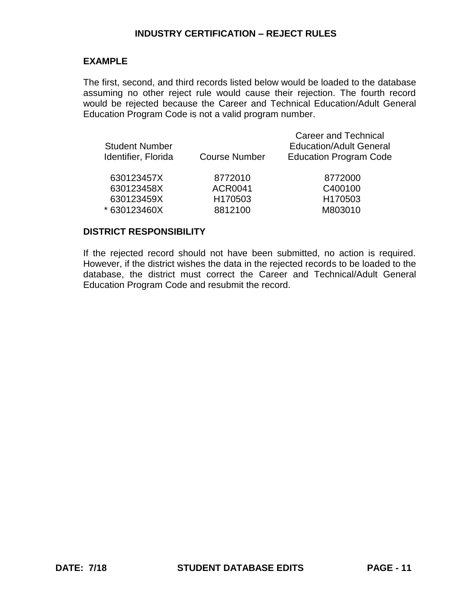### **EXAMPLE**

The first, second, and third records listed below would be loaded to the database assuming no other reject rule would cause their rejection. The fourth record would be rejected because the Career and Technical Education/Adult General Education Program Code is not a valid program number.

| <b>Student Number</b><br>Identifier, Florida | <b>Course Number</b> | <b>Career and Technical</b><br><b>Education/Adult General</b><br><b>Education Program Code</b> |
|----------------------------------------------|----------------------|------------------------------------------------------------------------------------------------|
| 630123457X                                   | 8772010              | 8772000                                                                                        |
| 630123458X                                   | <b>ACR0041</b>       | C400100                                                                                        |
| 630123459X                                   | H170503              | H170503                                                                                        |
| *630123460X                                  | 8812100              | M803010                                                                                        |
|                                              |                      |                                                                                                |

#### **DISTRICT RESPONSIBILITY**

If the rejected record should not have been submitted, no action is required. However, if the district wishes the data in the rejected records to be loaded to the database, the district must correct the Career and Technical/Adult General Education Program Code and resubmit the record.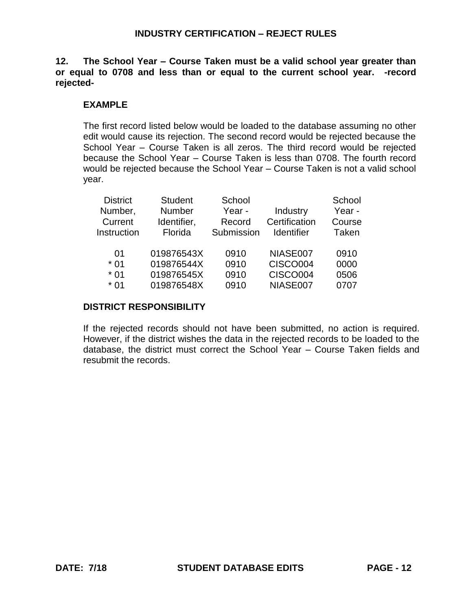**12. The School Year – Course Taken must be a valid school year greater than or equal to 0708 and less than or equal to the current school year. -record rejected-**

# **EXAMPLE**

The first record listed below would be loaded to the database assuming no other edit would cause its rejection. The second record would be rejected because the School Year – Course Taken is all zeros. The third record would be rejected because the School Year – Course Taken is less than 0708. The fourth record would be rejected because the School Year – Course Taken is not a valid school year.

| <b>District</b><br>Number,<br>Current<br>Instruction | <b>Student</b><br>Number<br>Identifier,<br>Florida | School<br>Year -<br>Record<br>Submission | Industry<br>Certification<br><b>Identifier</b> | School<br>Year -<br>Course<br>Taken |
|------------------------------------------------------|----------------------------------------------------|------------------------------------------|------------------------------------------------|-------------------------------------|
| 01                                                   | 019876543X                                         | 0910                                     | NIASE007                                       | 0910                                |
| $*01$                                                | 019876544X                                         | 0910                                     | CISCO004                                       | 0000                                |
| $*01$                                                | 019876545X                                         | 0910                                     | CISCO004                                       | 0506                                |
| $*01$                                                | 019876548X                                         | 0910                                     | NIASE007                                       | 0707                                |

# **DISTRICT RESPONSIBILITY**

If the rejected records should not have been submitted, no action is required. However, if the district wishes the data in the rejected records to be loaded to the database, the district must correct the School Year – Course Taken fields and resubmit the records.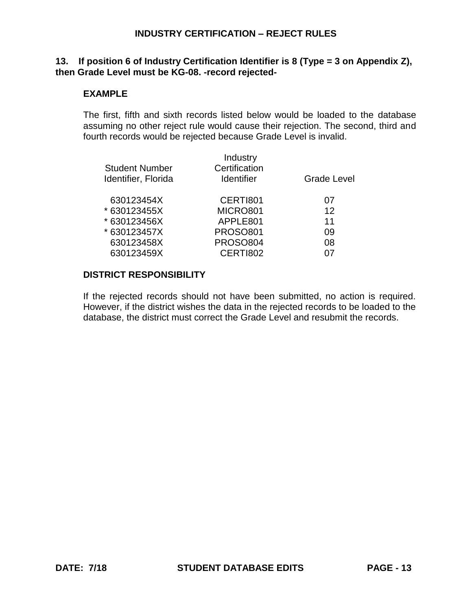### **13. If position 6 of Industry Certification Identifier is 8 (Type = 3 on Appendix Z), then Grade Level must be KG-08. -record rejected-**

## **EXAMPLE**

The first, fifth and sixth records listed below would be loaded to the database assuming no other reject rule would cause their rejection. The second, third and fourth records would be rejected because Grade Level is invalid.

| <b>Student Number</b><br>Identifier, Florida | Industry<br>Certification<br><b>Identifier</b> | Grade Level       |  |
|----------------------------------------------|------------------------------------------------|-------------------|--|
| 630123454X                                   | CERTI801                                       | 07                |  |
| * 630123455X                                 | MICRO801                                       | $12 \overline{ }$ |  |
| * 630123456X                                 | APPLE801                                       | 11                |  |
| * 630123457X                                 | <b>PROSO801</b>                                | 09                |  |
| 630123458X                                   | <b>PROSO804</b>                                | 08                |  |
| 630123459X                                   | CERTI802                                       |                   |  |
|                                              |                                                |                   |  |

### **DISTRICT RESPONSIBILITY**

If the rejected records should not have been submitted, no action is required. However, if the district wishes the data in the rejected records to be loaded to the database, the district must correct the Grade Level and resubmit the records.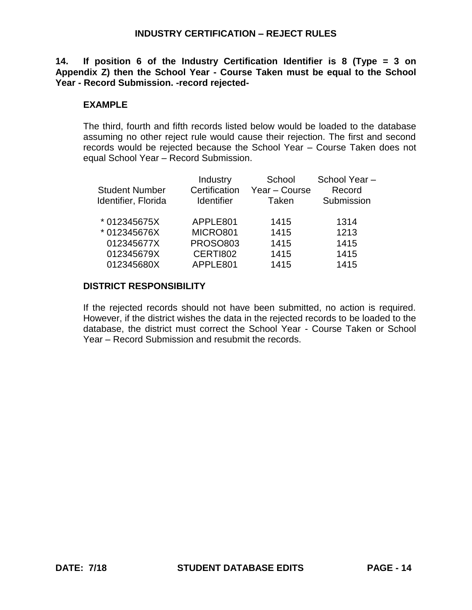**14. If position 6 of the Industry Certification Identifier is 8 (Type = 3 on Appendix Z) then the School Year - Course Taken must be equal to the School Year - Record Submission. -record rejected-**

## **EXAMPLE**

The third, fourth and fifth records listed below would be loaded to the database assuming no other reject rule would cause their rejection. The first and second records would be rejected because the School Year – Course Taken does not equal School Year – Record Submission.

| <b>Student Number</b><br>Identifier, Florida | Industry<br>Certification<br><b>Identifier</b> | School<br>Year - Course<br>Taken | School Year-<br>Record<br>Submission |
|----------------------------------------------|------------------------------------------------|----------------------------------|--------------------------------------|
| * 012345675X                                 | APPLE801                                       | 1415                             | 1314                                 |
| * 012345676X                                 | MICRO801                                       | 1415                             | 1213                                 |
| 012345677X                                   | <b>PROSO803</b>                                | 1415                             | 1415                                 |
| 012345679X                                   | CERTI802                                       | 1415                             | 1415                                 |
| 012345680X                                   | APPLE801                                       | 1415                             | 1415                                 |
|                                              |                                                |                                  |                                      |

## **DISTRICT RESPONSIBILITY**

If the rejected records should not have been submitted, no action is required. However, if the district wishes the data in the rejected records to be loaded to the database, the district must correct the School Year - Course Taken or School Year – Record Submission and resubmit the records.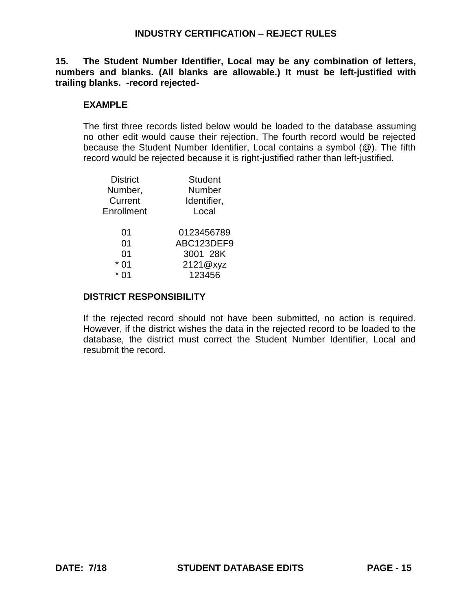**15. The Student Number Identifier, Local may be any combination of letters, numbers and blanks. (All blanks are allowable.) It must be left-justified with trailing blanks. -record rejected-**

## **EXAMPLE**

The first three records listed below would be loaded to the database assuming no other edit would cause their rejection. The fourth record would be rejected because the Student Number Identifier, Local contains a symbol (@). The fifth record would be rejected because it is right-justified rather than left-justified.

| District                        | Student                                                    |
|---------------------------------|------------------------------------------------------------|
| Number,                         | Number                                                     |
| Current                         | Identifier,                                                |
| Enrollment                      | Local                                                      |
| 01<br>01<br>01<br>01<br>*<br>ሰ1 | 0123456789<br>ABC123DEF9<br>3001 28K<br>2121@xyz<br>123456 |

## **DISTRICT RESPONSIBILITY**

If the rejected record should not have been submitted, no action is required. However, if the district wishes the data in the rejected record to be loaded to the database, the district must correct the Student Number Identifier, Local and resubmit the record.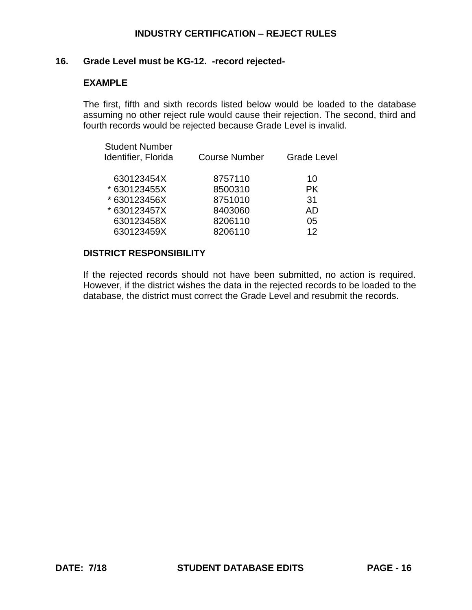### **16. Grade Level must be KG-12. -record rejected-**

### **EXAMPLE**

The first, fifth and sixth records listed below would be loaded to the database assuming no other reject rule would cause their rejection. The second, third and fourth records would be rejected because Grade Level is invalid.

| <b>Student Number</b><br>Identifier, Florida | <b>Course Number</b> | <b>Grade Level</b> |
|----------------------------------------------|----------------------|--------------------|
| 630123454X                                   | 8757110              | 10                 |
| * 630123455X                                 | 8500310              | <b>PK</b>          |
| * 630123456X                                 | 8751010              | 31                 |
| * 630123457X                                 | 8403060              | AD                 |
| 630123458X                                   | 8206110              | 05                 |
| 630123459X                                   | 8206110              | 12 <sub>1</sub>    |
|                                              |                      |                    |

### **DISTRICT RESPONSIBILITY**

If the rejected records should not have been submitted, no action is required. However, if the district wishes the data in the rejected records to be loaded to the database, the district must correct the Grade Level and resubmit the records.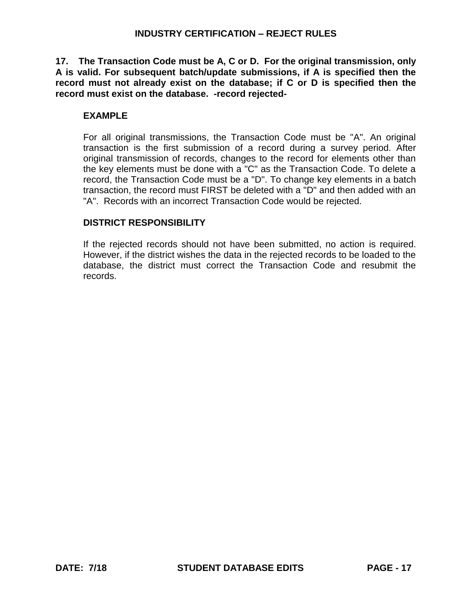**17. The Transaction Code must be A, C or D. For the original transmission, only A is valid. For subsequent batch/update submissions, if A is specified then the record must not already exist on the database; if C or D is specified then the record must exist on the database. -record rejected-**

# **EXAMPLE**

For all original transmissions, the Transaction Code must be "A". An original transaction is the first submission of a record during a survey period. After original transmission of records, changes to the record for elements other than the key elements must be done with a "C" as the Transaction Code. To delete a record, the Transaction Code must be a "D". To change key elements in a batch transaction, the record must FIRST be deleted with a "D" and then added with an "A". Records with an incorrect Transaction Code would be rejected.

# **DISTRICT RESPONSIBILITY**

If the rejected records should not have been submitted, no action is required. However, if the district wishes the data in the rejected records to be loaded to the database, the district must correct the Transaction Code and resubmit the records.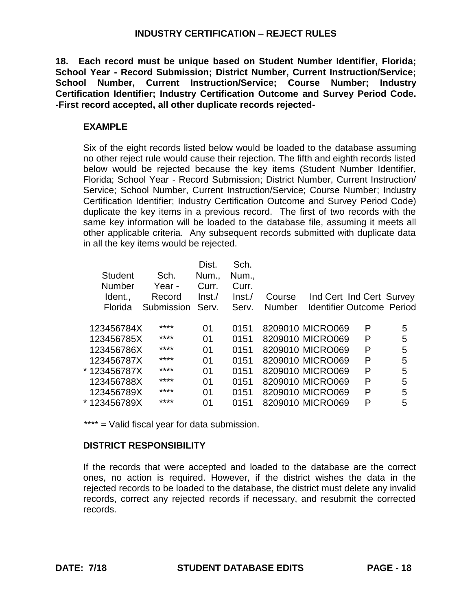**18. Each record must be unique based on Student Number Identifier, Florida; School Year - Record Submission; District Number, Current Instruction/Service; School Number, Current Instruction/Service; Course Number; Industry Certification Identifier; Industry Certification Outcome and Survey Period Code. -First record accepted, all other duplicate records rejected-**

# **EXAMPLE**

Six of the eight records listed below would be loaded to the database assuming no other reject rule would cause their rejection. The fifth and eighth records listed below would be rejected because the key items (Student Number Identifier, Florida; School Year - Record Submission; District Number, Current Instruction/ Service; School Number, Current Instruction/Service; Course Number; Industry Certification Identifier; Industry Certification Outcome and Survey Period Code) duplicate the key items in a previous record. The first of two records with the same key information will be loaded to the database file, assuming it meets all other applicable criteria. Any subsequent records submitted with duplicate data in all the key items would be rejected.

|                |            | Dist.  | Sch.   |        |                                  |                          |   |
|----------------|------------|--------|--------|--------|----------------------------------|--------------------------|---|
| <b>Student</b> | Sch.       | Num.,  | Num.,  |        |                                  |                          |   |
| <b>Number</b>  | Year -     | Curr.  | Curr.  |        |                                  |                          |   |
| Ident          | Record     | Inst./ | Inst./ | Course |                                  | Ind Cert Ind Cert Survey |   |
| Florida        | Submission | Serv.  | Serv.  | Number | <b>Identifier Outcome Period</b> |                          |   |
| 123456784X     | ****       | 01     | 0151   |        | 8209010 MICRO069                 | P                        | 5 |
| 123456785X     | ****       | 01     | 0151   |        | 8209010 MICRO069                 | P                        | 5 |
| 123456786X     | ****       | 01     | 0151   |        | 8209010 MICRO069                 | P                        | 5 |
| 123456787X     | ****       | 01     | 0151   |        | 8209010 MICRO069                 | P                        | 5 |
| * 123456787X   | ****       | 01     | 0151   |        | 8209010 MICRO069                 | P                        | 5 |
| 123456788X     | ****       | 01     | 0151   |        | 8209010 MICRO069                 | P                        | 5 |
| 123456789X     | ****       | 01     | 0151   |        | 8209010 MICRO069                 | P                        | 5 |
| * 123456789X   | ****       | 01     | 0151   |        | 8209010 MICRO069                 | P                        | 5 |

\*\*\*\* = Valid fiscal year for data submission.

# **DISTRICT RESPONSIBILITY**

If the records that were accepted and loaded to the database are the correct ones, no action is required. However, if the district wishes the data in the rejected records to be loaded to the database, the district must delete any invalid records, correct any rejected records if necessary, and resubmit the corrected records.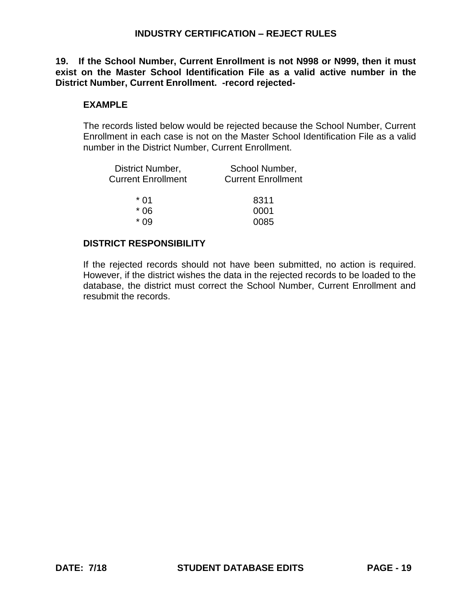**19. If the School Number, Current Enrollment is not N998 or N999, then it must exist on the Master School Identification File as a valid active number in the District Number, Current Enrollment. -record rejected-**

# **EXAMPLE**

The records listed below would be rejected because the School Number, Current Enrollment in each case is not on the Master School Identification File as a valid number in the District Number, Current Enrollment.

| District Number,          | School Number,            |
|---------------------------|---------------------------|
| <b>Current Enrollment</b> | <b>Current Enrollment</b> |
| * በ1                      | 8311                      |
| * 06                      | 0001                      |
| * ∩Q                      | 0085                      |

# **DISTRICT RESPONSIBILITY**

If the rejected records should not have been submitted, no action is required. However, if the district wishes the data in the rejected records to be loaded to the database, the district must correct the School Number, Current Enrollment and resubmit the records.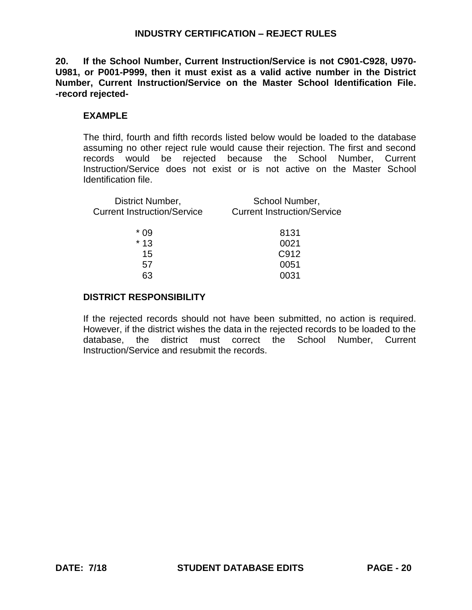**20. If the School Number, Current Instruction/Service is not C901-C928, U970- U981, or P001-P999, then it must exist as a valid active number in the District Number, Current Instruction/Service on the Master School Identification File. -record rejected-**

## **EXAMPLE**

The third, fourth and fifth records listed below would be loaded to the database assuming no other reject rule would cause their rejection. The first and second records would be rejected because the School Number, Current Instruction/Service does not exist or is not active on the Master School Identification file.

| District Number,<br><b>Current Instruction/Service</b> | School Number,<br><b>Current Instruction/Service</b> |  |
|--------------------------------------------------------|------------------------------------------------------|--|
| * በ9                                                   | 8131                                                 |  |
| $*13$                                                  | 0021                                                 |  |
| 15                                                     | C912                                                 |  |

57 0051 63 0031

### **DISTRICT RESPONSIBILITY**

If the rejected records should not have been submitted, no action is required. However, if the district wishes the data in the rejected records to be loaded to the database, the district must correct the School Number, Current Instruction/Service and resubmit the records.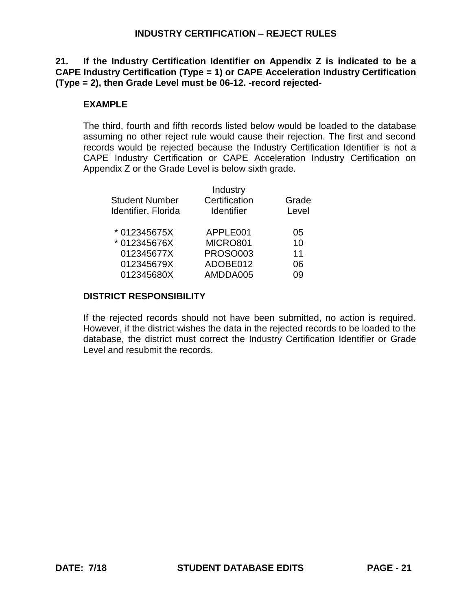**21. If the Industry Certification Identifier on Appendix Z is indicated to be a CAPE Industry Certification (Type = 1) or CAPE Acceleration Industry Certification (Type = 2), then Grade Level must be 06-12. -record rejected-**

### **EXAMPLE**

The third, fourth and fifth records listed below would be loaded to the database assuming no other reject rule would cause their rejection. The first and second records would be rejected because the Industry Certification Identifier is not a CAPE Industry Certification or CAPE Acceleration Industry Certification on Appendix Z or the Grade Level is below sixth grade.

|                       | Industry          |       |
|-----------------------|-------------------|-------|
| <b>Student Number</b> | Certification     | Grade |
| Identifier, Florida   | <b>Identifier</b> | Level |
| *012345675X           | APPLE001          | 05    |
| *012345676X           | MICRO801          | 10    |
| 012345677X            | <b>PROSO003</b>   | 11    |
| 012345679X            | ADOBE012          | 06    |
| 012345680X            | AMDDA005          | ገ의    |
|                       |                   |       |

### **DISTRICT RESPONSIBILITY**

If the rejected records should not have been submitted, no action is required. However, if the district wishes the data in the rejected records to be loaded to the database, the district must correct the Industry Certification Identifier or Grade Level and resubmit the records.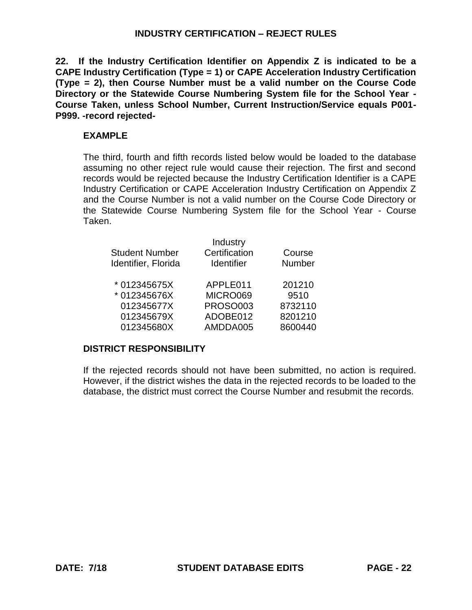**22. If the Industry Certification Identifier on Appendix Z is indicated to be a CAPE Industry Certification (Type = 1) or CAPE Acceleration Industry Certification (Type = 2), then Course Number must be a valid number on the Course Code Directory or the Statewide Course Numbering System file for the School Year - Course Taken, unless School Number, Current Instruction/Service equals P001- P999. -record rejected-**

# **EXAMPLE**

The third, fourth and fifth records listed below would be loaded to the database assuming no other reject rule would cause their rejection. The first and second records would be rejected because the Industry Certification Identifier is a CAPE Industry Certification or CAPE Acceleration Industry Certification on Appendix Z and the Course Number is not a valid number on the Course Code Directory or the Statewide Course Numbering System file for the School Year - Course Taken.

| <b>Student Number</b><br>Identifier, Florida | Industry<br>Certification<br><b>Identifier</b> | Course<br>Number |
|----------------------------------------------|------------------------------------------------|------------------|
| * 012345675X                                 | APPLE011                                       | 201210           |
| * 012345676X                                 | MICRO069                                       | 9510             |
| 012345677X                                   | <b>PROSO003</b>                                | 8732110          |
| 012345679X                                   | ADOBE012                                       | 8201210          |
| 012345680X                                   | AMDDA005                                       | 8600440          |

# **DISTRICT RESPONSIBILITY**

If the rejected records should not have been submitted, no action is required. However, if the district wishes the data in the rejected records to be loaded to the database, the district must correct the Course Number and resubmit the records.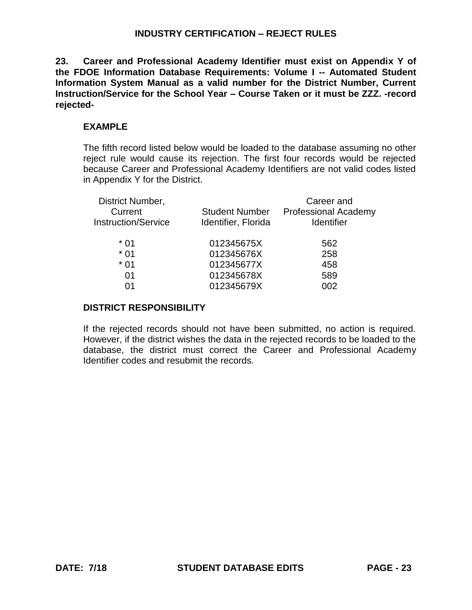**23. Career and Professional Academy Identifier must exist on Appendix Y of the FDOE Information Database Requirements: Volume I -- Automated Student Information System Manual as a valid number for the District Number, Current Instruction/Service for the School Year – Course Taken or it must be ZZZ. -record rejected-**

# **EXAMPLE**

The fifth record listed below would be loaded to the database assuming no other reject rule would cause its rejection. The first four records would be rejected because Career and Professional Academy Identifiers are not valid codes listed in Appendix Y for the District.

| District Number,<br>Current<br><b>Instruction/Service</b> | <b>Student Number</b><br>Identifier, Florida | Career and<br><b>Professional Academy</b><br>Identifier |
|-----------------------------------------------------------|----------------------------------------------|---------------------------------------------------------|
| $*01$                                                     | 012345675X                                   | 562                                                     |
| $*01$                                                     | 012345676X                                   | 258                                                     |
| $*01$                                                     | 012345677X                                   | 458                                                     |
| 01                                                        | 012345678X                                   | 589                                                     |
|                                                           | 012345679X                                   | 002                                                     |
|                                                           |                                              |                                                         |

## **DISTRICT RESPONSIBILITY**

If the rejected records should not have been submitted, no action is required. However, if the district wishes the data in the rejected records to be loaded to the database, the district must correct the Career and Professional Academy Identifier codes and resubmit the records.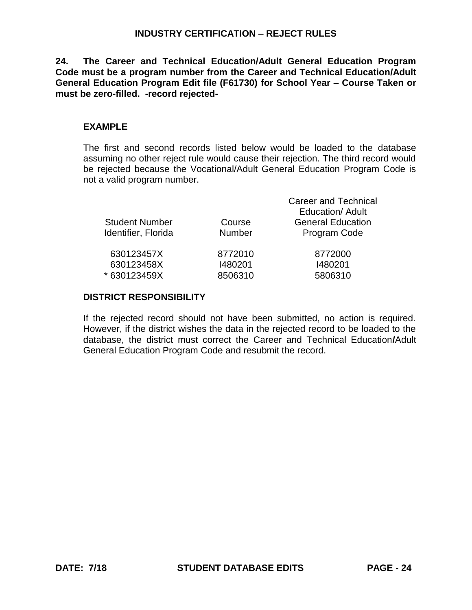**24. The Career and Technical Education/Adult General Education Program Code must be a program number from the Career and Technical Education/Adult General Education Program Edit file (F61730) for School Year – Course Taken or must be zero-filled. -record rejected-**

# **EXAMPLE**

The first and second records listed below would be loaded to the database assuming no other reject rule would cause their rejection. The third record would be rejected because the Vocational/Adult General Education Program Code is not a valid program number.

| <b>Student Number</b><br>Identifier, Florida | Course<br><b>Number</b> | <b>Career and Technical</b><br>Education/Adult<br><b>General Education</b><br>Program Code |
|----------------------------------------------|-------------------------|--------------------------------------------------------------------------------------------|
| 630123457X                                   | 8772010                 | 8772000                                                                                    |
| 630123458X                                   | 1480201                 | 1480201                                                                                    |
| * 630123459X                                 | 8506310                 | 5806310                                                                                    |

## **DISTRICT RESPONSIBILITY**

If the rejected record should not have been submitted, no action is required. However, if the district wishes the data in the rejected record to be loaded to the database, the district must correct the Career and Technical Education**/**Adult General Education Program Code and resubmit the record.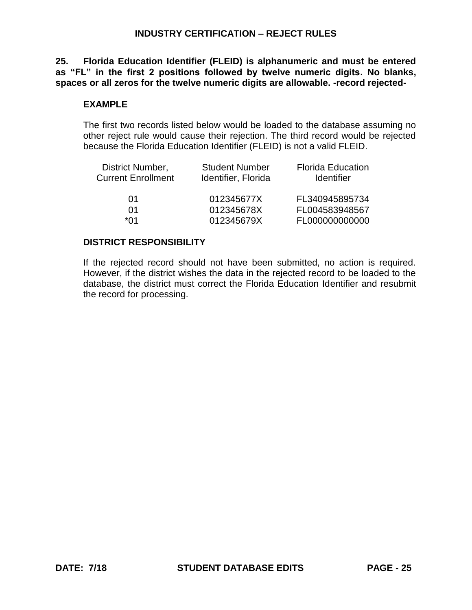**25. Florida Education Identifier (FLEID) is alphanumeric and must be entered as "FL" in the first 2 positions followed by twelve numeric digits. No blanks, spaces or all zeros for the twelve numeric digits are allowable. -record rejected-**

### **EXAMPLE**

The first two records listed below would be loaded to the database assuming no other reject rule would cause their rejection. The third record would be rejected because the Florida Education Identifier (FLEID) is not a valid FLEID.

| District Number,          | <b>Student Number</b> | <b>Florida Education</b> |
|---------------------------|-----------------------|--------------------------|
| <b>Current Enrollment</b> | Identifier, Florida   | <b>Identifier</b>        |
|                           |                       |                          |
| 01                        | 012345677X            | FL340945895734           |
| 01                        | 012345678X            | FL004583948567           |
| ∗∩1                       | 012345679X            | FL000000000000           |

### **DISTRICT RESPONSIBILITY**

If the rejected record should not have been submitted, no action is required. However, if the district wishes the data in the rejected record to be loaded to the database, the district must correct the Florida Education Identifier and resubmit the record for processing.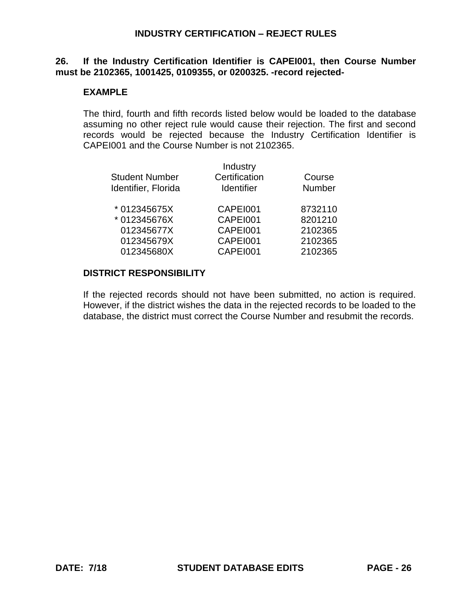### **26. If the Industry Certification Identifier is CAPEI001, then Course Number must be 2102365, 1001425, 0109355, or 0200325. -record rejected-**

### **EXAMPLE**

The third, fourth and fifth records listed below would be loaded to the database assuming no other reject rule would cause their rejection. The first and second records would be rejected because the Industry Certification Identifier is CAPEI001 and the Course Number is not 2102365.

|                       | Industry          |         |
|-----------------------|-------------------|---------|
| <b>Student Number</b> | Certification     | Course  |
| Identifier, Florida   | <b>Identifier</b> | Number  |
| * 012345675X          | CAPEI001          | 8732110 |
| * 012345676X          | CAPEI001          | 8201210 |
| 012345677X            | CAPEI001          | 2102365 |
| 012345679X            | CAPEI001          | 2102365 |
| 012345680X            | CAPEI001          | 2102365 |

### **DISTRICT RESPONSIBILITY**

If the rejected records should not have been submitted, no action is required. However, if the district wishes the data in the rejected records to be loaded to the database, the district must correct the Course Number and resubmit the records.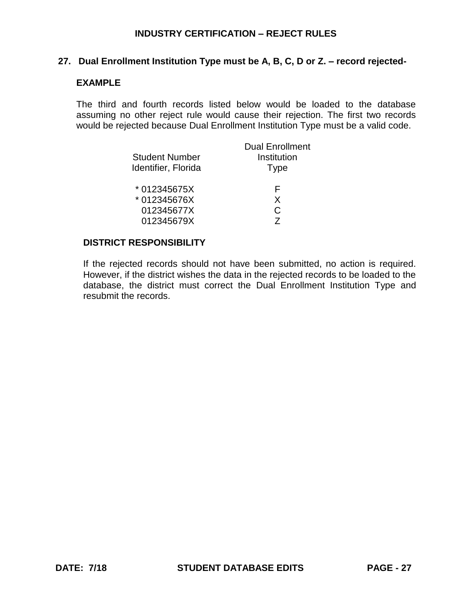### **27. Dual Enrollment Institution Type must be A, B, C, D or Z. – record rejected-**

#### **EXAMPLE**

The third and fourth records listed below would be loaded to the database assuming no other reject rule would cause their rejection. The first two records would be rejected because Dual Enrollment Institution Type must be a valid code.

|                       | <b>Dual Enrollment</b> |
|-----------------------|------------------------|
| <b>Student Number</b> | Institution            |
| Identifier, Florida   | <b>Type</b>            |
| * 012345675X          | F                      |
| *012345676X           | X                      |
| 012345677X            | C                      |
| 012345679X            |                        |

### **DISTRICT RESPONSIBILITY**

If the rejected records should not have been submitted, no action is required. However, if the district wishes the data in the rejected records to be loaded to the database, the district must correct the Dual Enrollment Institution Type and resubmit the records.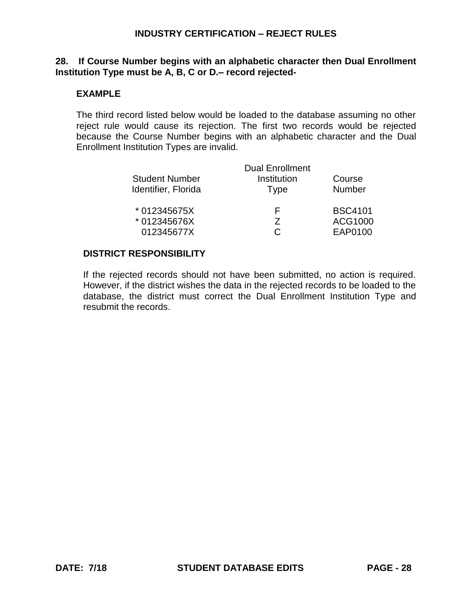### **28. If Course Number begins with an alphabetic character then Dual Enrollment Institution Type must be A, B, C or D.– record rejected-**

### **EXAMPLE**

The third record listed below would be loaded to the database assuming no other reject rule would cause its rejection. The first two records would be rejected because the Course Number begins with an alphabetic character and the Dual Enrollment Institution Types are invalid.

|                       | <b>Dual Enrollment</b> |                |
|-----------------------|------------------------|----------------|
| <b>Student Number</b> | Institution            | Course         |
| Identifier, Florida   | Type                   | <b>Number</b>  |
| * 012345675X          | E                      | <b>BSC4101</b> |
| * 012345676X          | 7                      | ACG1000        |
| 012345677X            |                        | EAP0100        |

### **DISTRICT RESPONSIBILITY**

If the rejected records should not have been submitted, no action is required. However, if the district wishes the data in the rejected records to be loaded to the database, the district must correct the Dual Enrollment Institution Type and resubmit the records.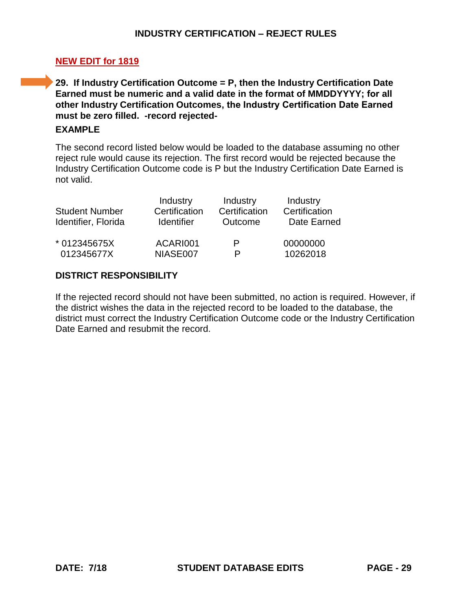# **NEW EDIT for 1819**

**29. If Industry Certification Outcome = P, then the Industry Certification Date Earned must be numeric and a valid date in the format of MMDDYYYY; for all other Industry Certification Outcomes, the Industry Certification Date Earned must be zero filled. -record rejected-**

## **EXAMPLE**

The second record listed below would be loaded to the database assuming no other reject rule would cause its rejection. The first record would be rejected because the Industry Certification Outcome code is P but the Industry Certification Date Earned is not valid.

| <b>Student Number</b><br>Identifier, Florida | Industry<br>Certification<br><b>Identifier</b> | Industry<br>Certification<br>Outcome | Industry<br>Certification<br>Date Earned |
|----------------------------------------------|------------------------------------------------|--------------------------------------|------------------------------------------|
| * 012345675X                                 | ACARI001                                       | P                                    | 00000000                                 |
| 012345677X                                   | NIASE007                                       |                                      | 10262018                                 |

## **DISTRICT RESPONSIBILITY**

If the rejected record should not have been submitted, no action is required. However, if the district wishes the data in the rejected record to be loaded to the database, the district must correct the Industry Certification Outcome code or the Industry Certification Date Earned and resubmit the record.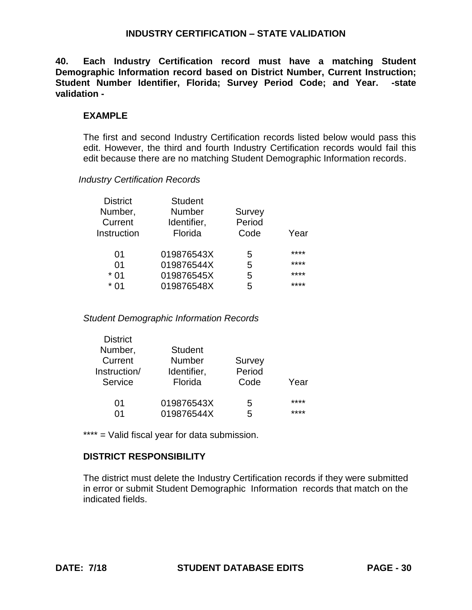## **INDUSTRY CERTIFICATION – STATE VALIDATION**

**40. Each Industry Certification record must have a matching Student Demographic Information record based on District Number, Current Instruction; Student Number Identifier, Florida; Survey Period Code; and Year. -state validation -**

### **EXAMPLE**

The first and second Industry Certification records listed below would pass this edit. However, the third and fourth Industry Certification records would fail this edit because there are no matching Student Demographic Information records.

#### *Industry Certification Records*

| <b>District</b> | <b>Student</b> |        |      |
|-----------------|----------------|--------|------|
| Number,         | <b>Number</b>  | Survey |      |
| Current         | Identifier,    | Period |      |
| Instruction     | Florida        | Code   | Year |
| 01              | 019876543X     | 5      | **** |
| 01              | 019876544X     | 5      | **** |
| $*$ 01          | 019876545X     | 5      | **** |
| * በ1            | 019876548X     | 5      | **** |
|                 |                |        |      |

#### *Student Demographic Information Records*

| <b>District</b> |                |        |      |
|-----------------|----------------|--------|------|
| Number,         | <b>Student</b> |        |      |
| Current         | Number         | Survey |      |
| Instruction/    | Identifier,    | Period |      |
| Service         | Florida        | Code   | Year |
|                 |                |        |      |
| 01              | 019876543X     | 5      | **** |
| በ1              | 019876544X     | 5      | **** |

\*\*\*\* = Valid fiscal year for data submission.

## **DISTRICT RESPONSIBILITY**

The district must delete the Industry Certification records if they were submitted in error or submit Student Demographic Information records that match on the indicated fields.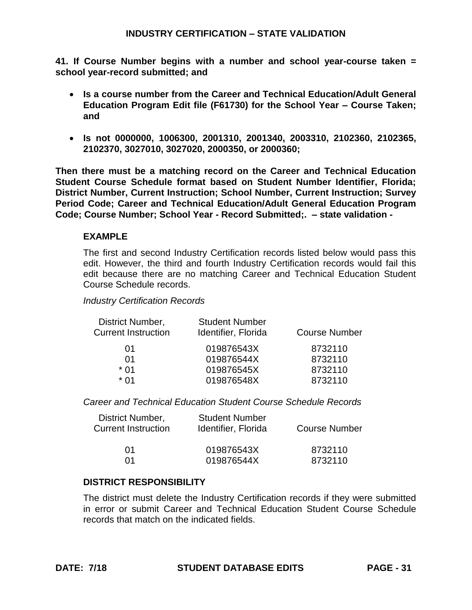## **INDUSTRY CERTIFICATION – STATE VALIDATION**

**41. If Course Number begins with a number and school year-course taken = school year-record submitted; and**

- **Is a course number from the Career and Technical Education/Adult General Education Program Edit file (F61730) for the School Year – Course Taken; and**
- **Is not 0000000, 1006300, 2001310, 2001340, 2003310, 2102360, 2102365, 2102370, 3027010, 3027020, 2000350, or 2000360;**

**Then there must be a matching record on the Career and Technical Education Student Course Schedule format based on Student Number Identifier, Florida; District Number, Current Instruction; School Number, Current Instruction; Survey Period Code; Career and Technical Education/Adult General Education Program Code; Course Number; School Year - Record Submitted;. – state validation -**

## **EXAMPLE**

The first and second Industry Certification records listed below would pass this edit. However, the third and fourth Industry Certification records would fail this edit because there are no matching Career and Technical Education Student Course Schedule records.

#### *Industry Certification Records*

| District Number,<br><b>Current Instruction</b> | <b>Student Number</b><br>Identifier, Florida | <b>Course Number</b> |
|------------------------------------------------|----------------------------------------------|----------------------|
| 01                                             | 019876543X                                   | 8732110              |
| 01                                             | 019876544X                                   | 8732110              |
| * 01                                           | 019876545X                                   | 8732110              |
| * በ1                                           | 019876548X                                   | 8732110              |
|                                                |                                              |                      |

*Career and Technical Education Student Course Schedule Records*

| District Number,<br><b>Current Instruction</b> | <b>Student Number</b><br>Identifier, Florida | <b>Course Number</b> |
|------------------------------------------------|----------------------------------------------|----------------------|
| 01                                             | 019876543X                                   | 8732110              |
| በ1                                             | 019876544X                                   | 8732110              |

#### **DISTRICT RESPONSIBILITY**

The district must delete the Industry Certification records if they were submitted in error or submit Career and Technical Education Student Course Schedule records that match on the indicated fields.